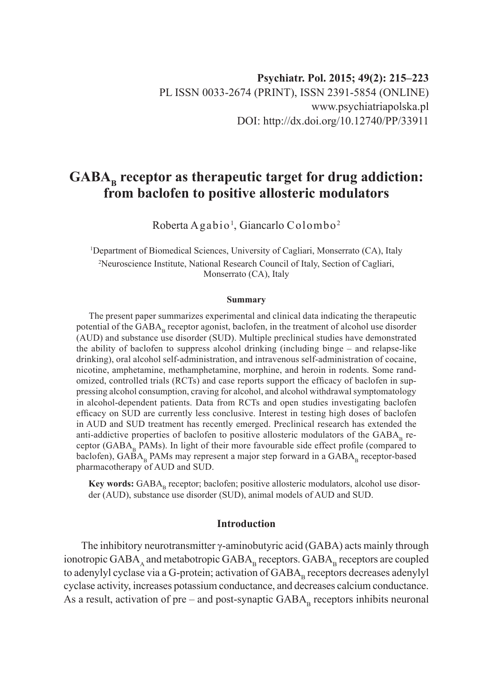# GABA<sub>p</sub> receptor as therapeutic target for drug addiction: **from baclofen to positive allosteric modulators**

Roberta Agabio<sup>1</sup>, Giancarlo Colombo<sup>2</sup>

<sup>1</sup>Department of Biomedical Sciences, University of Cagliari, Monserrato (CA), Italy 2 Neuroscience Institute, National Research Council of Italy, Section of Cagliari, Monserrato (CA), Italy

#### **Summary**

The present paper summarizes experimental and clinical data indicating the therapeutic potential of the  $GABA<sub>b</sub>$  receptor agonist, baclofen, in the treatment of alcohol use disorder (AUD) and substance use disorder (SUD). Multiple preclinical studies have demonstrated the ability of baclofen to suppress alcohol drinking (including binge – and relapse-like drinking), oral alcohol self-administration, and intravenous self-administration of cocaine, nicotine, amphetamine, methamphetamine, morphine, and heroin in rodents. Some randomized, controlled trials (RCTs) and case reports support the efficacy of baclofen in suppressing alcohol consumption, craving for alcohol, and alcohol withdrawal symptomatology in alcohol-dependent patients. Data from RCTs and open studies investigating baclofen efficacy on SUD are currently less conclusive. Interest in testing high doses of baclofen in AUD and SUD treatment has recently emerged. Preclinical research has extended the anti-addictive properties of baclofen to positive allosteric modulators of the  $GABA_p$  receptor ( $GABA_p$  PAMs). In light of their more favourable side effect profile (compared to baclofen), GABA<sub>B</sub> PAMs may represent a major step forward in a GABA<sub>B</sub> receptor-based pharmacotherapy of AUD and SUD.

Key words: GABA<sub>B</sub> receptor; baclofen; positive allosteric modulators, alcohol use disorder (AUD), substance use disorder (SUD), animal models of AUD and SUD.

#### **Introduction**

The inhibitory neurotransmitter γ-aminobutyric acid (GABA) acts mainly through ionotropic  $GABA_A$  and metabotropic  $GABA_B$  receptors.  $GABA_B$  receptors are coupled to adenylyl cyclase via a G-protein; activation of GABA<sub>n</sub> receptors decreases adenylyl cyclase activity, increases potassium conductance, and decreases calcium conductance. As a result, activation of pre – and post-synaptic  $GABA_n$  receptors inhibits neuronal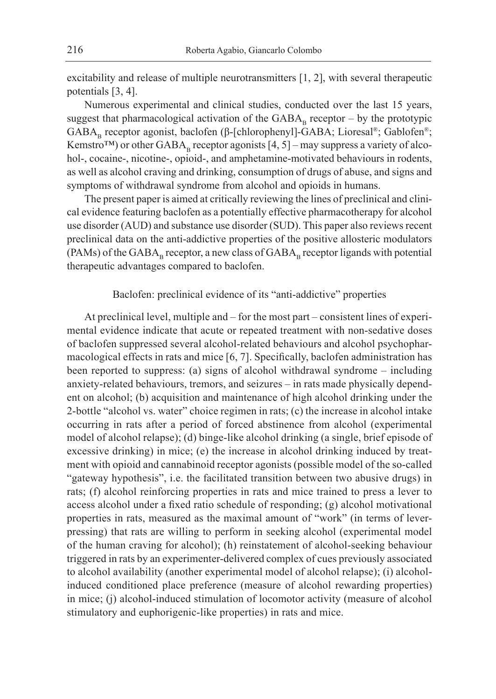excitability and release of multiple neurotransmitters [1, 2], with several therapeutic potentials [3, 4].

Numerous experimental and clinical studies, conducted over the last 15 years, suggest that pharmacological activation of the  $GABA_n$  receptor – by the prototypic GABA<sub>R</sub> receptor agonist, baclofen (β-[chlorophenyl]-GABA; Lioresal®; Gablofen®; Kemstro<sup>TM</sup>) or other GABA<sub>B</sub> receptor agonists [4, 5] – may suppress a variety of alcohol-, cocaine-, nicotine-, opioid-, and amphetamine-motivated behaviours in rodents, as well as alcohol craving and drinking, consumption of drugs of abuse, and signs and symptoms of withdrawal syndrome from alcohol and opioids in humans.

The present paper is aimed at critically reviewing the lines of preclinical and clinical evidence featuring baclofen as a potentially effective pharmacotherapy for alcohol use disorder (AUD) and substance use disorder (SUD). This paper also reviews recent preclinical data on the anti-addictive properties of the positive allosteric modulators  $(PAMs)$  of the GABA<sub>p</sub> receptor, a new class of GABA<sub>p</sub> receptor ligands with potential therapeutic advantages compared to baclofen.

## Baclofen: preclinical evidence of its "anti-addictive" properties

At preclinical level, multiple and – for the most part – consistent lines of experimental evidence indicate that acute or repeated treatment with non-sedative doses of baclofen suppressed several alcohol-related behaviours and alcohol psychopharmacological effects in rats and mice [6, 7]. Specifically, baclofen administration has been reported to suppress: (a) signs of alcohol withdrawal syndrome – including anxiety-related behaviours, tremors, and seizures – in rats made physically dependent on alcohol; (b) acquisition and maintenance of high alcohol drinking under the 2-bottle "alcohol vs. water" choice regimen in rats; (c) the increase in alcohol intake occurring in rats after a period of forced abstinence from alcohol (experimental model of alcohol relapse); (d) binge-like alcohol drinking (a single, brief episode of excessive drinking) in mice; (e) the increase in alcohol drinking induced by treatment with opioid and cannabinoid receptor agonists (possible model of the so-called "gateway hypothesis", i.e. the facilitated transition between two abusive drugs) in rats; (f) alcohol reinforcing properties in rats and mice trained to press a lever to access alcohol under a fixed ratio schedule of responding; (g) alcohol motivational properties in rats, measured as the maximal amount of "work" (in terms of leverpressing) that rats are willing to perform in seeking alcohol (experimental model of the human craving for alcohol); (h) reinstatement of alcohol-seeking behaviour triggered in rats by an experimenter-delivered complex of cues previously associated to alcohol availability (another experimental model of alcohol relapse); (i) alcoholinduced conditioned place preference (measure of alcohol rewarding properties) in mice; (j) alcohol-induced stimulation of locomotor activity (measure of alcohol stimulatory and euphorigenic-like properties) in rats and mice.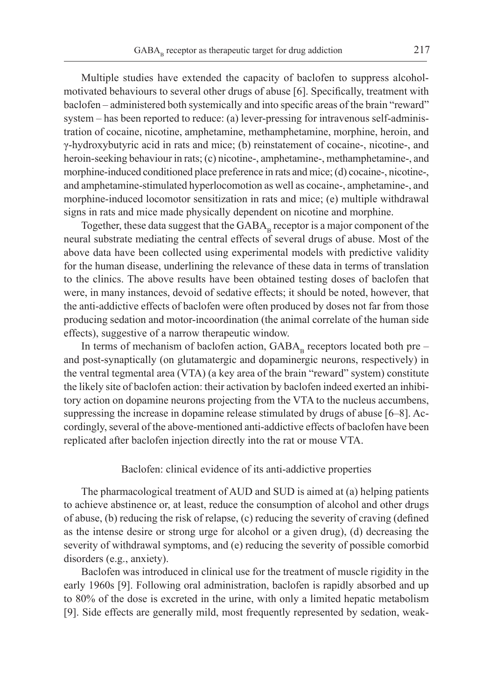Multiple studies have extended the capacity of baclofen to suppress alcoholmotivated behaviours to several other drugs of abuse [6]. Specifically, treatment with baclofen – administered both systemically and into specific areas of the brain "reward" system – has been reported to reduce: (a) lever-pressing for intravenous self-administration of cocaine, nicotine, amphetamine, methamphetamine, morphine, heroin, and γ-hydroxybutyric acid in rats and mice; (b) reinstatement of cocaine-, nicotine-, and heroin-seeking behaviour in rats; (c) nicotine-, amphetamine-, methamphetamine-, and morphine-induced conditioned place preference in rats and mice; (d) cocaine-, nicotine-, and amphetamine-stimulated hyperlocomotion as well as cocaine-, amphetamine-, and morphine-induced locomotor sensitization in rats and mice; (e) multiple withdrawal signs in rats and mice made physically dependent on nicotine and morphine.

Together, these data suggest that the  $GABA_n$  receptor is a major component of the neural substrate mediating the central effects of several drugs of abuse. Most of the above data have been collected using experimental models with predictive validity for the human disease, underlining the relevance of these data in terms of translation to the clinics. The above results have been obtained testing doses of baclofen that were, in many instances, devoid of sedative effects; it should be noted, however, that the anti-addictive effects of baclofen were often produced by doses not far from those producing sedation and motor-incoordination (the animal correlate of the human side effects), suggestive of a narrow therapeutic window.

In terms of mechanism of baclofen action,  $GABA_p$  receptors located both pre – and post-synaptically (on glutamatergic and dopaminergic neurons, respectively) in the ventral tegmental area (VTA) (a key area of the brain "reward" system) constitute the likely site of baclofen action: their activation by baclofen indeed exerted an inhibitory action on dopamine neurons projecting from the VTA to the nucleus accumbens, suppressing the increase in dopamine release stimulated by drugs of abuse [6–8]. Accordingly, several of the above-mentioned anti-addictive effects of baclofen have been replicated after baclofen injection directly into the rat or mouse VTA.

# Baclofen: clinical evidence of its anti-addictive properties

The pharmacological treatment of AUD and SUD is aimed at (a) helping patients to achieve abstinence or, at least, reduce the consumption of alcohol and other drugs of abuse, (b) reducing the risk of relapse, (c) reducing the severity of craving (defined as the intense desire or strong urge for alcohol or a given drug), (d) decreasing the severity of withdrawal symptoms, and (e) reducing the severity of possible comorbid disorders (e.g., anxiety).

Baclofen was introduced in clinical use for the treatment of muscle rigidity in the early 1960s [9]. Following oral administration, baclofen is rapidly absorbed and up to 80% of the dose is excreted in the urine, with only a limited hepatic metabolism [9]. Side effects are generally mild, most frequently represented by sedation, weak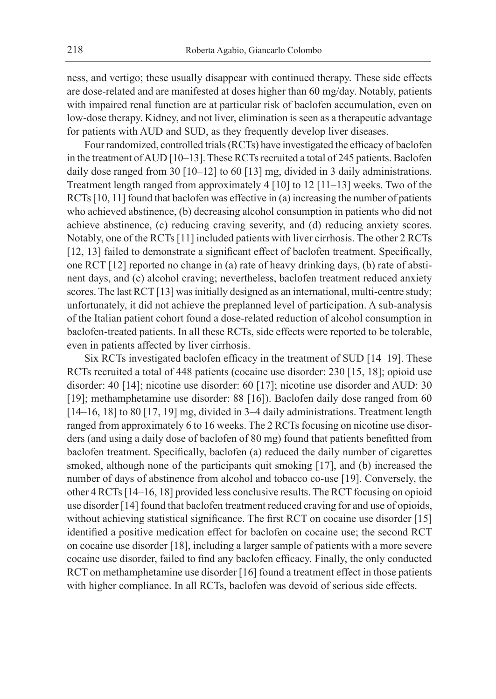ness, and vertigo; these usually disappear with continued therapy. These side effects are dose-related and are manifested at doses higher than 60 mg/day. Notably, patients with impaired renal function are at particular risk of baclofen accumulation, even on low-dose therapy. Kidney, and not liver, elimination is seen as a therapeutic advantage for patients with AUD and SUD, as they frequently develop liver diseases.

Four randomized, controlled trials (RCTs) have investigated the efficacy of baclofen in the treatment of AUD [10–13]. These RCTs recruited a total of 245 patients. Baclofen daily dose ranged from 30 [10–12] to 60 [13] mg, divided in 3 daily administrations. Treatment length ranged from approximately 4 [10] to 12 [11–13] weeks. Two of the RCTs [10, 11] found that baclofen was effective in (a) increasing the number of patients who achieved abstinence, (b) decreasing alcohol consumption in patients who did not achieve abstinence, (c) reducing craving severity, and (d) reducing anxiety scores. Notably, one of the RCTs [11] included patients with liver cirrhosis. The other 2 RCTs [12, 13] failed to demonstrate a significant effect of baclofen treatment. Specifically, one RCT [12] reported no change in (a) rate of heavy drinking days, (b) rate of abstinent days, and (c) alcohol craving; nevertheless, baclofen treatment reduced anxiety scores. The last RCT [13] was initially designed as an international, multi-centre study; unfortunately, it did not achieve the preplanned level of participation. A sub-analysis of the Italian patient cohort found a dose-related reduction of alcohol consumption in baclofen-treated patients. In all these RCTs, side effects were reported to be tolerable, even in patients affected by liver cirrhosis.

Six RCTs investigated baclofen efficacy in the treatment of SUD [14–19]. These RCTs recruited a total of 448 patients (cocaine use disorder: 230 [15, 18]; opioid use disorder: 40 [14]; nicotine use disorder: 60 [17]; nicotine use disorder and AUD: 30 [19]; methamphetamine use disorder: 88 [16]). Baclofen daily dose ranged from 60 [14–16, 18] to 80 [17, 19] mg, divided in 3–4 daily administrations. Treatment length ranged from approximately 6 to 16 weeks. The 2 RCTs focusing on nicotine use disorders (and using a daily dose of baclofen of 80 mg) found that patients benefitted from baclofen treatment. Specifically, baclofen (a) reduced the daily number of cigarettes smoked, although none of the participants quit smoking [17], and (b) increased the number of days of abstinence from alcohol and tobacco co-use [19]. Conversely, the other 4 RCTs [14–16, 18] provided less conclusive results. The RCT focusing on opioid use disorder [14] found that baclofen treatment reduced craving for and use of opioids, without achieving statistical significance. The first RCT on cocaine use disorder [15] identified a positive medication effect for baclofen on cocaine use; the second RCT on cocaine use disorder [18], including a larger sample of patients with a more severe cocaine use disorder, failed to find any baclofen efficacy. Finally, the only conducted RCT on methamphetamine use disorder [16] found a treatment effect in those patients with higher compliance. In all RCTs, baclofen was devoid of serious side effects.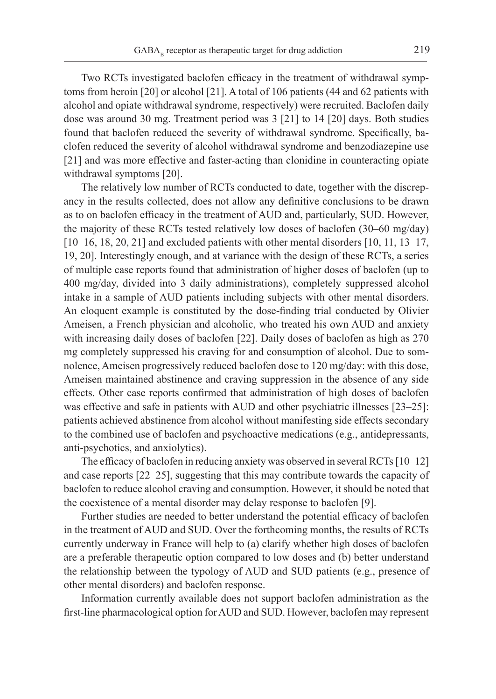Two RCTs investigated baclofen efficacy in the treatment of withdrawal symptoms from heroin [20] or alcohol [21]. A total of 106 patients (44 and 62 patients with alcohol and opiate withdrawal syndrome, respectively) were recruited. Baclofen daily dose was around 30 mg. Treatment period was 3 [21] to 14 [20] days. Both studies found that baclofen reduced the severity of withdrawal syndrome. Specifically, baclofen reduced the severity of alcohol withdrawal syndrome and benzodiazepine use [21] and was more effective and faster-acting than clonidine in counteracting opiate withdrawal symptoms [20].

The relatively low number of RCTs conducted to date, together with the discrepancy in the results collected, does not allow any definitive conclusions to be drawn as to on baclofen efficacy in the treatment of AUD and, particularly, SUD. However, the majority of these RCTs tested relatively low doses of baclofen (30–60 mg/day)  $[10–16, 18, 20, 21]$  and excluded patients with other mental disorders  $[10, 11, 13–17, 13]$ 19, 20]. Interestingly enough, and at variance with the design of these RCTs, a series of multiple case reports found that administration of higher doses of baclofen (up to 400 mg/day, divided into 3 daily administrations), completely suppressed alcohol intake in a sample of AUD patients including subjects with other mental disorders. An eloquent example is constituted by the dose-finding trial conducted by Olivier Ameisen, a French physician and alcoholic, who treated his own AUD and anxiety with increasing daily doses of baclofen [22]. Daily doses of baclofen as high as 270 mg completely suppressed his craving for and consumption of alcohol. Due to somnolence, Ameisen progressively reduced baclofen dose to 120 mg/day: with this dose, Ameisen maintained abstinence and craving suppression in the absence of any side effects. Other case reports confirmed that administration of high doses of baclofen was effective and safe in patients with AUD and other psychiatric illnesses [23–25]: patients achieved abstinence from alcohol without manifesting side effects secondary to the combined use of baclofen and psychoactive medications (e.g., antidepressants, anti-psychotics, and anxiolytics).

The efficacy of baclofen in reducing anxiety was observed in several RCTs [10–12] and case reports [22–25], suggesting that this may contribute towards the capacity of baclofen to reduce alcohol craving and consumption. However, it should be noted that the coexistence of a mental disorder may delay response to baclofen [9].

Further studies are needed to better understand the potential efficacy of baclofen in the treatment of AUD and SUD. Over the forthcoming months, the results of RCTs currently underway in France will help to (a) clarify whether high doses of baclofen are a preferable therapeutic option compared to low doses and (b) better understand the relationship between the typology of AUD and SUD patients (e.g., presence of other mental disorders) and baclofen response.

Information currently available does not support baclofen administration as the first-line pharmacological option for AUD and SUD. However, baclofen may represent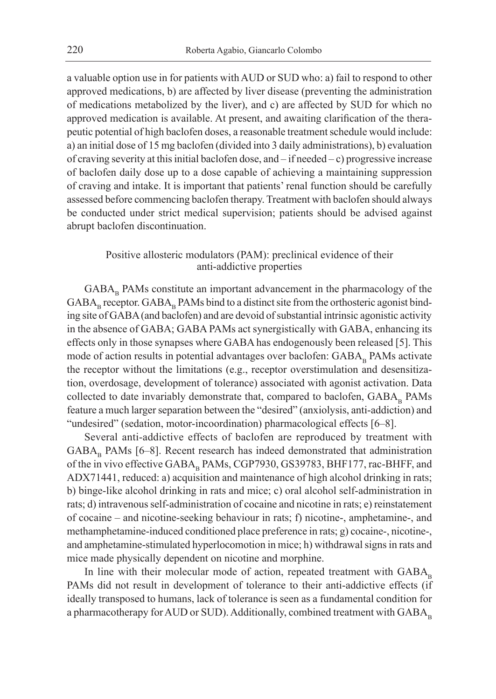a valuable option use in for patients with AUD or SUD who: a) fail to respond to other approved medications, b) are affected by liver disease (preventing the administration of medications metabolized by the liver), and c) are affected by SUD for which no approved medication is available. At present, and awaiting clarification of the therapeutic potential of high baclofen doses, a reasonable treatment schedule would include: a) an initial dose of 15 mg baclofen (divided into 3 daily administrations), b) evaluation of craving severity at this initial baclofen dose, and – if needed – c) progressive increase of baclofen daily dose up to a dose capable of achieving a maintaining suppression of craving and intake. It is important that patients' renal function should be carefully assessed before commencing baclofen therapy. Treatment with baclofen should always be conducted under strict medical supervision; patients should be advised against abrupt baclofen discontinuation.

# Positive allosteric modulators (PAM): preclinical evidence of their anti-addictive properties

 $GABA_p$  PAMs constitute an important advancement in the pharmacology of the  $GABA<sub>B</sub>$  receptor.  $GABA<sub>B</sub>$  PAMs bind to a distinct site from the orthosteric agonist binding site of GABA (and baclofen) and are devoid of substantial intrinsic agonistic activity in the absence of GABA; GABA PAMs act synergistically with GABA, enhancing its effects only in those synapses where GABA has endogenously been released [5]. This mode of action results in potential advantages over baclofen:  $GABA<sub>B</sub>$  PAMs activate the receptor without the limitations (e.g., receptor overstimulation and desensitization, overdosage, development of tolerance) associated with agonist activation. Data collected to date invariably demonstrate that, compared to baclofen, GABA<sub>p</sub> PAMs feature a much larger separation between the "desired" (anxiolysis, anti-addiction) and "undesired" (sedation, motor-incoordination) pharmacological effects [6–8].

Several anti-addictive effects of baclofen are reproduced by treatment with  $GABA<sub>B</sub>$  PAMs [6–8]. Recent research has indeed demonstrated that administration of the in vivo effective GABA<sub>B</sub> PAMs, CGP7930, GS39783, BHF177, rac-BHFF, and ADX71441, reduced: a) acquisition and maintenance of high alcohol drinking in rats; b) binge-like alcohol drinking in rats and mice; c) oral alcohol self-administration in rats; d) intravenous self-administration of cocaine and nicotine in rats; e) reinstatement of cocaine – and nicotine-seeking behaviour in rats; f) nicotine-, amphetamine-, and methamphetamine-induced conditioned place preference in rats; g) cocaine-, nicotine-, and amphetamine-stimulated hyperlocomotion in mice; h) withdrawal signs in rats and mice made physically dependent on nicotine and morphine.

In line with their molecular mode of action, repeated treatment with  $GABA_n$ PAMs did not result in development of tolerance to their anti-addictive effects (if ideally transposed to humans, lack of tolerance is seen as a fundamental condition for a pharmacotherapy for AUD or SUD). Additionally, combined treatment with  $GABA_B$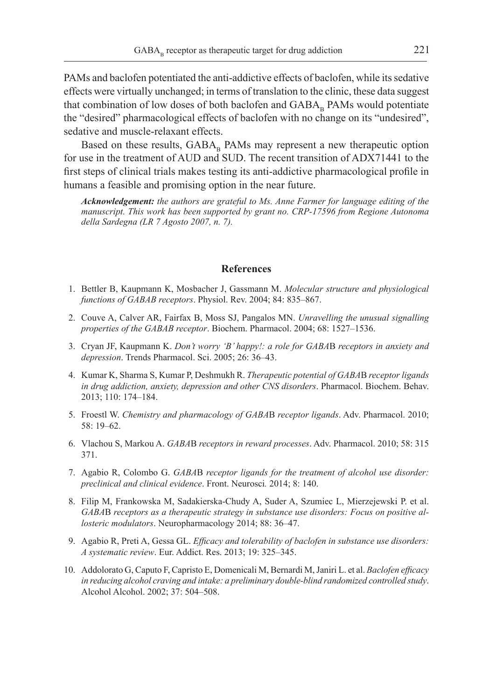PAMs and baclofen potentiated the anti-addictive effects of baclofen, while its sedative effects were virtually unchanged; in terms of translation to the clinic, these data suggest that combination of low doses of both baclofen and  $GABA_p$  PAMs would potentiate the "desired" pharmacological effects of baclofen with no change on its "undesired", sedative and muscle-relaxant effects.

Based on these results,  $GABA_p$  PAMs may represent a new therapeutic option for use in the treatment of AUD and SUD. The recent transition of ADX71441 to the first steps of clinical trials makes testing its anti-addictive pharmacological profile in humans a feasible and promising option in the near future.

*Acknowledgement: the authors are grateful to Ms. Anne Farmer for language editing of the manuscript. This work has been supported by grant no. CRP-17596 from Regione Autonoma della Sardegna (LR 7 Agosto 2007, n. 7).*

#### **References**

- 1. Bettler B, Kaupmann K, Mosbacher J, Gassmann M. *Molecular structure and physiological functions of GABAB receptors*. Physiol. Rev. 2004; 84: 835–867.
- 2. Couve A, Calver AR, Fairfax B, Moss SJ, Pangalos MN. *Unravelling the unusual signalling properties of the GABAB receptor*. Biochem. Pharmacol. 2004; 68: 1527–1536.
- 3. Cryan JF, Kaupmann K. *Don't worry 'B' happy!: a role for GABA*B *receptors in anxiety and depression*. Trends Pharmacol. Sci. 2005; 26: 36–43.
- 4. Kumar K, Sharma S, Kumar P, Deshmukh R. *Therapeutic potential of GABA*B *receptor ligands in drug addiction, anxiety, depression and other CNS disorders*. Pharmacol. Biochem. Behav. 2013; 110: 174–184.
- 5. Froestl W. *Chemistry and pharmacology of GABA*B *receptor ligands*. Adv. Pharmacol. 2010; 58: 19–62.
- 6. Vlachou S, Markou A. *GABA*B *receptors in reward processes*. Adv. Pharmacol. 2010; 58: 315 371.
- 7. Agabio R, Colombo G. *GABA*B *receptor ligands for the treatment of alcohol use disorder: preclinical and clinical evidence*. Front. Neurosci*.* 2014; 8: 140.
- 8. Filip M, Frankowska M, Sadakierska-Chudy A, Suder A, Szumiec L, Mierzejewski P. et al. *GABA*B *receptors as a therapeutic strategy in substance use disorders: Focus on positive allosteric modulators*. Neuropharmacology 2014; 88: 36–47.
- 9. Agabio R, Preti A, Gessa GL. *Efficacy and tolerability of baclofen in substance use disorders: A systematic review*. Eur. Addict. Res. 2013; 19: 325–345.
- 10. Addolorato G, Caputo F, Capristo E, Domenicali M, Bernardi M, Janiri L. et al. *Baclofen efficacy in reducing alcohol craving and intake: a preliminary double-blind randomized controlled study*. Alcohol Alcohol. 2002; 37: 504–508.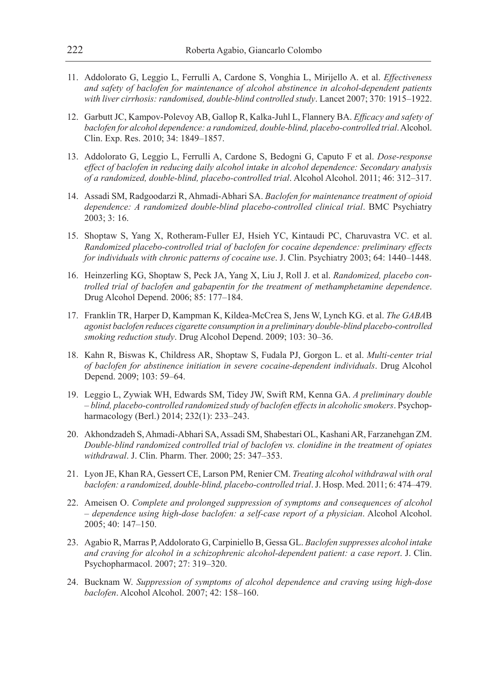- 11. Addolorato G, Leggio L, Ferrulli A, Cardone S, Vonghia L, Mirijello A. et al. *Effectiveness and safety of baclofen for maintenance of alcohol abstinence in alcohol-dependent patients with liver cirrhosis: randomised, double-blind controlled study*. Lancet 2007; 370: 1915–1922.
- 12. Garbutt JC, Kampov-Polevoy AB, Gallop R, Kalka-Juhl L, Flannery BA. *Efficacy and safety of baclofen for alcohol dependence: a randomized, double-blind, placebo-controlled trial*. Alcohol. Clin. Exp. Res. 2010; 34: 1849–1857.
- 13. Addolorato G, Leggio L, Ferrulli A, Cardone S, Bedogni G, Caputo F et al. *Dose-response effect of baclofen in reducing daily alcohol intake in alcohol dependence: Secondary analysis of a randomized, double-blind, placebo-controlled trial*. Alcohol Alcohol. 2011; 46: 312–317.
- 14. Assadi SM, Radgoodarzi R, Ahmadi-Abhari SA. *Baclofen for maintenance treatment of opioid dependence: A randomized double-blind placebo-controlled clinical trial*. BMC Psychiatry 2003; 3: 16.
- 15. Shoptaw S, Yang X, Rotheram-Fuller EJ, Hsieh YC, Kintaudi PC, Charuvastra VC. et al. *Randomized placebo-controlled trial of baclofen for cocaine dependence: preliminary effects for individuals with chronic patterns of cocaine use*. J. Clin. Psychiatry 2003; 64: 1440–1448.
- 16. Heinzerling KG, Shoptaw S, Peck JA, Yang X, Liu J, Roll J. et al. *Randomized, placebo controlled trial of baclofen and gabapentin for the treatment of methamphetamine dependence*. Drug Alcohol Depend. 2006; 85: 177–184.
- 17. Franklin TR, Harper D, Kampman K, Kildea-McCrea S, Jens W, Lynch KG. et al. *The GABA*B *agonist baclofen reduces cigarette consumption in a preliminary double-blind placebo-controlled smoking reduction study*. Drug Alcohol Depend. 2009; 103: 30–36.
- 18. Kahn R, Biswas K, Childress AR, Shoptaw S, Fudala PJ, Gorgon L. et al. *Multi-center trial of baclofen for abstinence initiation in severe cocaine-dependent individuals*. Drug Alcohol Depend. 2009; 103: 59–64.
- 19. Leggio L, Zywiak WH, Edwards SM, Tidey JW, Swift RM, Kenna GA. *A preliminary double – blind, placebo-controlled randomized study of baclofen effects in alcoholic smokers*. Psychopharmacology (Berl.) 2014; 232(1): 233–243.
- 20. Akhondzadeh S, Ahmadi-Abhari SA, Assadi SM, Shabestari OL, Kashani AR, Farzanehgan ZM. *Double-blind randomized controlled trial of baclofen vs. clonidine in the treatment of opiates withdrawal*. J. Clin. Pharm. Ther. 2000; 25: 347–353.
- 21. Lyon JE, Khan RA, Gessert CE, Larson PM, Renier CM. *Treating alcohol withdrawal with oral baclofen: a randomized, double-blind, placebo-controlled trial*. J. Hosp. Med. 2011; 6: 474–479.
- 22. Ameisen O. *Complete and prolonged suppression of symptoms and consequences of alcohol – dependence using high-dose baclofen: a self-case report of a physician*. Alcohol Alcohol. 2005; 40: 147–150.
- 23. Agabio R, Marras P, Addolorato G, Carpiniello B, Gessa GL. *Baclofen suppresses alcohol intake and craving for alcohol in a schizophrenic alcohol-dependent patient: a case report*. J. Clin. Psychopharmacol. 2007; 27: 319–320.
- 24. Bucknam W. *Suppression of symptoms of alcohol dependence and craving using high-dose baclofen*. Alcohol Alcohol. 2007; 42: 158–160.